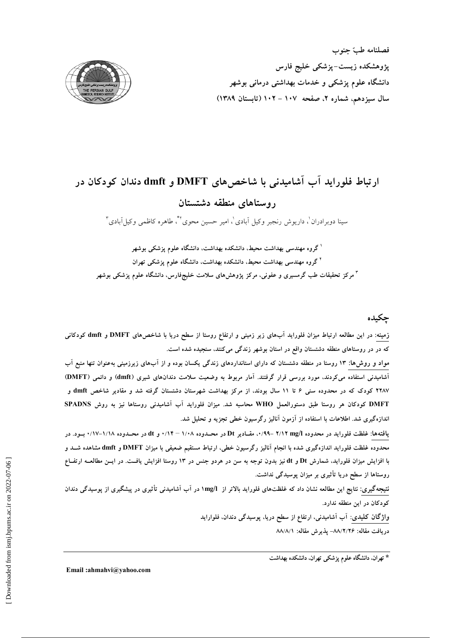

# ارتباط فلوراید آب آشامیدنی با شاخصهای DMFT و dmft دندان کودکان در روستاهای منطقه دشتستان

سینا دوبرادران ْ، داریوش رنجبر وکیل اَبادی ْ، امیر حسین محوی ٔ ٔ ، طاهره کاظمی وکیا اِبادی ٔ ٔ

<sup>ا</sup> گروه مهندسی بهداشت محیط، دانشکده بهداشت، دانشگاه علوم پزشک<sub>ی</sub> بوشهر <sup>۲</sup> گروه مهندس<sub>ی</sub> بهداشت محیط، دانشکده بهداشت، دانشگاه علوم یزشک<sub>ی</sub> تهران <sup>۳</sup> مرکز تحقیقات طب گرمسیری و عفونی، مرکز پژوهش۵ای سلامت خلیجفارس، دانشگاه علوم پزشکی بوشهر

# حكىدە

زمینه: در این مطالعه ارتباط میزان فلوراید آبهای زیر زمینی و ارتفاع روستا از سطح دریا با شاخصهای DMFT و dmft کودکانی که در در روستاهای منطقه دشتستان واقع در استان بوشهر زندگی میکنند، سنجیده شده است.

مواد و روش۵ا: ۱۳ روستا در منطقه دشتستان که دارای استانداردهای زندگی یکسان بوده و از آبهای زیرزمینی بهعنوان تنها منبع آب آشامیدنی استفاده میکردند، مورد بررسی قرار گرفتند. آمار مربوط به وضعیت سلامت دندانهای شیری (dmft) و دائمی (DMFT) ۲۲۸۷ کودک که در محدوده سنی ۶ تا ۱۱ سال بودند، از مرکز بهداشت شهرستان دشتستان گرفته شد و مقادیر شاخص dmft و DMFT کودکان هر روستا طبق دستورالعمل WHO محاسبه شد. میزان فلوراید آب آشامیدنی روستاها نیز به روش SPADNS اندازهگیری شد. اطلاعات با استفاده از آزمون آنالیز رگرسیون خطی تجزیه و تحلیل شد.

یافتهها: غلظت فلوراید در محدوده x/۱۲ mg/l -۲/۱۲ -۰/۹۹. مقـادیر Dt در محــدوده ۱/۰۸ – ۰/۱۴ و dt در محــدوده ۱/۱۸–۰/۱۷ بــود. در محدوده غلظت فلوراید اندازهگیری شده با انجام آنالیز رگرسیون خطی، ارتباط مستقیم ضعیفی با میزان DMFT و dmft مشاهده شـد و با افزایش میزان فلوراید، شمارش Dt و dt نیز بدون توجه به سن در هردو جنس در ۱۳ روستا افزایش یافت. در ایــن مطالعــه ارتفــاع روستاها از سطح دریا تأثیری بر میزان پوسیدگی نداشت.

نتیجهگیری: نتایج این مطالعه نشان داد که غلظتهای فلوراید بالاتر از ۱mg/l در آب آشامیدنی تأثیری در پیشگیری از پوسیدگی دندان کودکان در این منطقه ندارد.

> واژگان کلیدی: آب آشامیدنی، ارتفاع از سطح دریا، پوسیدگی دندان، فلواراید دريافت مقاله: ٨٨/٢/٢۶- يذيرش مقاله: ٨٨/٨/١

> > \* تهران، دانشگاه علوم پزشکی تهران، دانشکده بهداشت

Email:ahmahvi@yahoo.com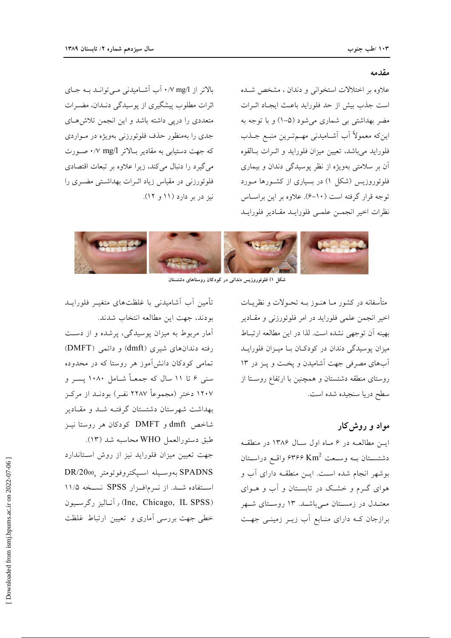#### مقدمه

علاوه بر اختلالات استخوانی و دندان ، مشخص شـده است جذب بیش از حد فلوراید باعث ایجاد اثـرات مضر بهداشتی بی شماری میشود (۵–۱) و با توجه به اینکه معمولاً آب آشـامیدنی مهـمتـرین منبـع جــذب فلورايد مىباشد، تعيين ميزان فلورايد و اثـرات بـالقوه آن بر سلامتی بهویژه از نظر پوسیدگی دندان و بیماری فلوئوروزیس (شکل ۱) در بسیاری از کشورها مورد توجه قرار گرفته است (١٠-۶). علاوه بر اين براسـاس نظرات اخير انجمـن علمـى فلورايـد مقـادير فلورايـد

بالاتر از w mg/l/ . آب آشامیدنی مے توانید بے جای اثرات مطلوب پیشگیری از پوسیدگی دنـدان، مضـرات متعددی را درپی داشته باشد و این انجمن تلاشهای جدی را بهمنظور حذف فلوئورزنی بهویژه در مـواردی که جهت دستیابی به مقادیر بالاتر mg/l، صورت می گیرد را دنبال می کند، زیرا علاوه بر تبعات اقتصادی فلوئورزنی در مقیاس زیاد اثـرات بهداشتی مضـری را نیز در بر دارد (۱۱ و ۱۲).



شکل ۱) فلوئوروزیس دندانی در کودکان روستاهای دشتستان

متأسفانه در کشور مــا هنــوز بــه تحــولات و نظريــات اخیر انجمن علمی فلوراید در امر فلوئورزنی و مقادیر بهينه أن توجهي نشده است. لذا در اين مطالعه ارتباط میزان پوسیدگی دندان در کودکان با میزان فلورایـد آبهای مصرفی جهت آشامیدن و یخت و پـز در ۱۳ روستای منطقه دشتستان و همچنین با ارتفاع روستا از سطح دريا سنجيده شده است.

## مواد و روش کار

ایس مطالعه در ۶ ماه اول سال ۱۳۸۶ در منطقه دشتســتان بــه وســعت ?۳۶۶ Km واقــع دراســتان بوشهر انجام شده است. ایــن منطقــه دارای آب و هوای گـرم و خشـک در تابسـتان و آب و هــوای معتــدل در زمســتان مــیباشــد. ۱۳ روســتای شــهر برازجان کـه دارای منـابع آب زيـر زمينـی جهـت

تأمین آب آشامیدنی با غلظتهای متغیـر فلورایــد بودند، جهت این مطالعه انتخاب شدند. آمار مربوط به میزان پوسیدگی، پرشده و از دست رفته دندانهای شیری (dmft) و دائمی (DMFT) تمامی کودکان دانشآموز هر روستا که در محدوده سنی ۶ تا ۱۱ سال که جمعـاً شـامل ۱۰۸۰ پسـر و ۱۲۰۷ دختر (مجموعاً ۲۲۸۷ نفـر) بودنـد از مرکــز بهداشت شهرستان دشتستان گرفتـه شـد و مقـادير شاخص dmft و DMFT كودكان هر روستا نيـز طبق دستورالعمل WHO محاسبه شد (١٣).

جهت تعیین میزان فلوراید نیز از روش استاندارد SPADNS بهوسـيله اسـپكتروفوتومتر DR/2000 استفاده شد. از نوم افزار SPSS نسخه ۱۱/۵ (Inc, Chicago, IL SPSS) وآناليز رگرسيون خطی جهت بررسی آماری و تعیین ارتباط غلظت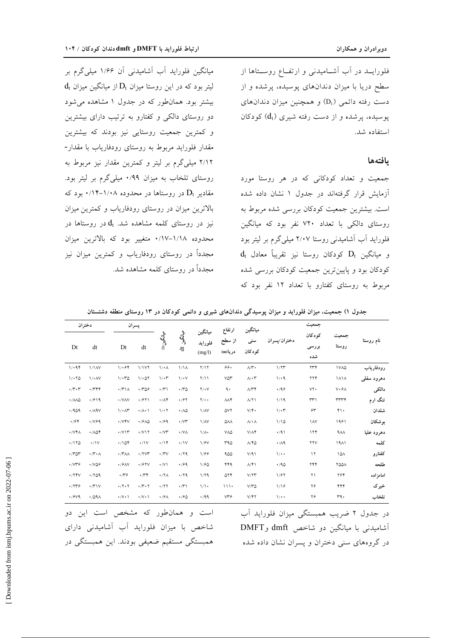فلورایــد در آب آشــامیدنی و ارتفــاع روســتاها از سطح دریا با میزان دندانهای پوسیده، پرشده و از دست رفته دائمی (D<sub>t</sub>) و همچنین میزان دندانهای پوسیده، پرشده و از دست رفته شیری  $(d_t)$  کودکان استفاده شد.

#### يافتهها

جمعیت و تعداد کودکانی که در هر روستا مورد آزمایش قرار گرفتهاند در جدول ۱ نشان داده شده است. بیشترین جمعیت کودکان بررسی شده مربوط به روستای دالکی با تعداد ۷۲۰ نفر بود که میانگین فلوراید آب آشامیدنی روستا ۲/۰۷ میلی گرم بر لیتر بود  $d_t$  و میانگین  $D_t$  کودکان روستا نیز تقریباً معادل کودکان بود و پایینترین جمعیت کودکان بررسی شده مربوط به روستای کفتارو با تعداد ۱۲ نفر بود که

میانگین فلوراید آب آشامیدنی آن ۱/۶۶ میلیگرم بر  $d_t$  لیتر بود که در این روستا میزان  $D_t$  از میانگین میزان بیشتر بود. همان طور که در جدول ۱ مشاهده می شود دو روستای دالکی و کفتارو به ترتیب دارای بیشترین و کمترین جمعیت روستایی نیز بودند که بیشترین مقدار فلوراید مربوط به روستای رودفاریاب با مقدار-۲/۱۲ میلیگرم بر لیتر و کمترین مقدار نیز مربوط به روستای تلخاب به میزان ۰/۹۹ میلی گرم بر لیتر بود. مقادیر  $\mathrm{D_{t}}$  در روستاها در محدوده ۱/۰۸–۱/۴٪ بود که بالاترین میزان در روستای رودفاریاب و کمترین میزان نیز در روستای کلمه مشاهده شد.  $\rm d_{t}$  در روستاها در محدوده ١/١٨-١٧/٠ متغيير بود كه بالاترين ميزان مجدداً در روستای رودفاریاب و کمترین میزان نیز مجدداً در روستای کلمه مشاهده شد.

|            |                   | جمعيت                        |                      | ميانگين                    | ارتفاع             |                              |                             |                          | پسران                       |                                        | دختران                           |                                |
|------------|-------------------|------------------------------|----------------------|----------------------------|--------------------|------------------------------|-----------------------------|--------------------------|-----------------------------|----------------------------------------|----------------------------------|--------------------------------|
| نام روستا  | جمعيت<br>روستا    | كودكان<br>بررسی<br>شده       | دختران/يسران         | سنى<br>كودكان              | از سطح<br>دريا(m   | ميانگين<br>فلورايد<br>(mg/l) | ؞ڸۣ<br>ڗڲڹ<br>$\frac{1}{d}$ | ڛؙػٙۑڹ۩                  | dt                          | Dt                                     | dt                               | Dt                             |
| رودفارياب  | <b>IVAQ</b>       | ۲۳۴                          | 1/77                 | $\Lambda/\Upsilon$         | ۶۶.                | Y/Y                          | $1/\lambda$                 | $\sqrt{\cdot A}$         | 1/1V                        | 1.94                                   | 1/1AV                            | 1/194                          |
| دهرود سفلى | <b>1414</b>       | ۲۲۴                          | 1/49                 | $\wedge/\cdot\curlyvee$    | $V\Delta Y$        | Y/11                         | $1/\cdot V$                 | $1/\cdot 7$              | 1/607                       | $1/\cdot 70$                           | $1/4$ AV                         | 1/170                          |
| دالكى      | $V \cdot 5A$      | $VT$ .                       | .49                  | $\Lambda/\Upsilon\Upsilon$ | ٩.                 | $Y/\cdot V$                  | $\cdot$ /٣۵                 | $\cdot$ /٣١              | .709                        | $\cdot$ / $\uparrow$ \ $\wedge$        | .744                             | $\cdot$ /۳ $\cdot$ ۳           |
| تنگ ارم    | <b>TTTF</b>       | $\uparrow \uparrow \uparrow$ | 1/19                 | A/Y                        | $\Lambda\Lambda$ ۴ | $Y/\cdot$                    | $\cdot$ /۶۲                 | $\cdot/\Lambda$ ۴        | $\cdot$ /۶۲۱                | $\cdot$ /VAV                           | .7919                            | $\cdot$ / $\land\land\Diamond$ |
| شلدان      | $\mathbf{Y}$ .    | $\hat{\tau}$                 | $1/\cdot 7$          | $V/\Upsilon$               | ۵۷۲                | 1/AV                         | $\cdot/\lambda\Delta$       | 1/27                     | $\cdot/\Lambda\cdot$        | 1/4                                    | $\cdot$ / $\wedge$ 9 $\vee$      | .409                           |
| بوشكان     | 1991              | <b>IAV</b>                   | 1/10                 | $\Lambda/\bullet\Lambda$   | ۵٨٨                | 1/AV                         | $\cdot$ / $\vee\uparrow$    | .99                      | $\cdot$ / $9\land\Diamond$  | $\cdot$ / $V$ $V$                      | $\cdot$ / $\vee$ $\circ$ $\circ$ | $\cdot$ /۶۴                    |
| دهرود عليا | $4\lambda\lambda$ | 174                          | $\cdot$ /9)          | $V/\Lambda$ ۴              | VAQ                | $1/\Lambda$                  | $\cdot$ /VA                 | $\cdot$ / $\vee\uparrow$ | $\cdot$ / $\vee$ $\vee$     | $\cdot$ / $\vee$ $\vee$                | $\cdot$ / $\wedge$ $\wedge$      | $\cdot$ / $\vee\,\uparrow$ /   |
| كلمه       | 1911              | $\gamma \gamma \gamma$       | $\cdot/\Lambda$ ٩    | A/YQ                       | ۳۹۵                | 1/8V                         | $\cdot$ / $\vee$            | $\cdot/\gamma$           | $\cdot/\gamma$              | $\cdot / 104$                          | $\cdot$ /\V                      | $\cdot$ /170                   |
| كفتارو     | ١۵٨               | $\lambda$                    | $\sqrt{\cdot \cdot}$ | V/91                       | 900                | 1/88                         | .79                         | $\cdot$ /۳ $\vee$        | $\cdot$ /۲۷۳                | $\cdot$ / $\uparrow$ $\wedge$ $\wedge$ | $\cdot \wedge \cdot \wedge$      | $\cdot$ /۳۵۳                   |
| طلحه       | <b>YQQA</b>       | ۲۴۴                          | .40                  | $\Lambda/\Upsilon$         | ۴۴۹                | 1/80                         | .799                        | $\cdot$ /V)              | $\cdot$ / $57V$             | $\cdot$ / $9$ AV                       | $\cdot$ NOS                      | $\cdot$ / $V^{\ast}$           |
| امامز اده  | ۲۶۴               | ۲۱                           | 1/87                 | $V/\Upsilon\Upsilon$       | ۵۲۴                | 1/79                         | $\cdot$ /۲۹                 | $\cdot$ /٢ $\wedge$      | $\cdot$                     | $\cdot$                                | .709                             | $\cdot$ /٢۴٧                   |
| خیر ک      | ۴۴۴               | ۲۶                           | 1/19                 | $V/Y$ ۵                    | 111.               | 1/1                          | $\cdot$ /٣١                 | $\cdot$ /٢٢              | $\cdot \wedge \cdot \wedge$ | $\cdot$ /۲ $\cdot$ ۲                   | $\cdot$ / $\uparrow$ \ $\vee$    | .7779                          |
| تلخاب      | ra.               | ۲۶                           | $\sqrt{\cdot \cdot}$ | $V/\Upsilon\Upsilon$       | VT9                | .499                         | $\cdot$ / $\approx$ $\circ$ | $\cdot$ / $\circ$        | $\cdot/\vee\cdot\wedge$     | $\cdot/\vee\cdot\wedge$                | $\cdot$ /09 $\wedge$             | $\cdot$ / $9\vee$ 9            |

جدول ۱) جمعیت، میزان فلوراید و میزان پوسیدگی دندانهای شیری و دائمی کودکان در ۱۳ روستای منطقه دشتستان

در جدول ۲ ضریب همبستگی میزان فلوراید آب آشامیدنی با میانگین دو شاخص dmft و DMFT در گروههای سنی دختران و پسران نشان داده شده

ن و همانطور که مشخص است این دو شاخص با میزان فلوراید آب آشامیدنی دارای همبستگی مستقیم ضعیفی بودند. این همبستگی در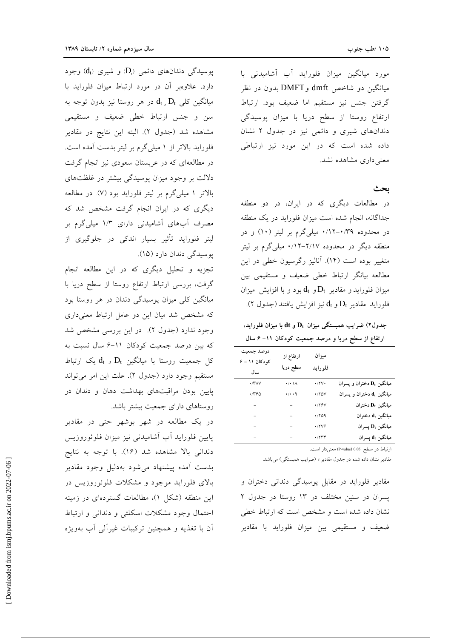مورد میانگین میزان فلوراید آب آشامیدنی با میانگین دو شاخص dmft وDMFT بدون در نظر گرفتن جنس نيز مستقيم اما ضعيف بود. ارتباط ارتفاع روستا از سطح دريا با ميزان پوسيدگي دندانهای شیری و دائمی نیز در جدول ۲ نشان داده شده است که در این مورد نیز ارتباطی معنی داری مشاهده نشد.

ىحث

در مطالعات دیگری که در ایران، در دو منطقه جداگانه، انجام شده است میزان فلوراید در یک منطقه در محدوده ۰/۱۲-۰/۳۹ میلیگرم بر لیتر (۱۰) و در منطقه دیگر در محدوده ۲/۱۷–۲/۱۲ میلیگرم بر لیتر متغییر بوده است (۱۴). آنالیز رگرسیون خطی در این مطالعه بیانگر ارتباط خطی ضعیف و مستقیمی بین میزان فلوراید و مقادیر  $\mathrm{D_{t}}$  و  $\mathrm{d_{t}}$  بود و با افزایش میزان فلورايد مقادير  $\mathrm{D_{t}}$  و  $\mathrm{d_{t}}$  نيز افزايش يافتند (جدول ٢).

جدول۲) ضرایب همبستگی میزان  $\mathbf{D}_\mathrm{t}$  و  $\mathrm{d} \mathrm{t}$  با میزان فلوراید، ارتفاع از سطح دریا و درصد جمعیت کودکان ۱۱– ۶ سال

| درصد جمعیت<br>کودکان ۱۱ - ۶<br>سال | ارتفاع از<br>سطح دريا            | ميزان<br>فلورايد  |                                                                    |
|------------------------------------|----------------------------------|-------------------|--------------------------------------------------------------------|
| $\cdot$ /۳۸۷                       | $\cdot/\cdot \backslash \Lambda$ | $\cdot$ /۲ $\vee$ | میانگین $\mathbf{D}_\mathrm{t}$ دختران و پسران                     |
| ٠/٣۶٥                              | $\cdot/\cdot\cdot$ q             | $\cdot$ /۲۵۷      | میانگین d <sub>t</sub> دختران و پسران                              |
| -                                  | $\qquad \qquad -$                | <b>./۲۶V</b>      | $\mathbf{D}_t$ ميانگين $\mathbf{D}_t$ دختران                       |
| -                                  | -                                | .709              | $\mathbf{d}_{\mathrm{t}}$ میانگین $\mathbf{d}_{\mathrm{t}}$ دختران |
| -                                  | $\qquad \qquad -$                | .7799             | ميانگين D <sub>t</sub> پسران                                       |
| -                                  | -                                | .7774             | سيانگين $\mathbf{d}_{\rm t}$ پسران                                 |

ارتباط در سطح 0.05 (P-value) معنى دار است.

مقادیر نشان داده شده در جدول مقادیر r (ضرایب همبستگی) میباشد.

مقادیر فلوراید در مقابل پوسیدگی دندانی دختران و پسران در سنین مختلف در ۱۳ روستا در جدول ۲ نشان داده شده است و مشخص است که ارتباط خطی ضعیف و مستقیمی بین میزان فلوراید با مقادیر

یوسیدگی دندانهای دائمی (D<sub>i</sub>) و شیری (d<sub>t</sub>) وجود دارد. علاوهبر آن در مورد ارتباط میزان فلوراید با میانگین کلی  $\rm d_{t}$  ,  $\rm D_{t}$  در هر روستا نیز بدون توجه به سن و جنس ارتباط خطی ضعیف و مستقیمی مشاهده شد (جدول ۲). البته این نتایج در مقادیر فلوراید بالاتر از ۱ میلیگرم بر لیتر بدست آمده است. در مطالعهای که در عربستان سعودی نیز انجام گرفت دلالت بر وجود میزان پوسیدگی بیشتر در غلظتهای بالاتر ۱ میلی گرم بر لیتر فلوراید بود (۷). در مطالعه دیگری که در ایران انجام گرفت مشخص شد که مصرف آبهای آشامیدنی دارای ۱/۳ میلیگرم بر ليتر فلورايد تأثير بسيار اندكي در جلوگيري از يوسيدگي دندان دارد (١۵).

تجزیه و تحلیل دیگری که در این مطالعه انجام گرفت، بررسی ارتباط ارتفاع روستا از سطح دریا با میانگین کلی میزان پوسیدگی دندان در هر روستا بود که مشخص شد میان این دو عامل ارتباط معنیداری وجود ندارد (جدول ٢). در اين بررسي مشخص شد که بین درصد جمعیت کودکان ۱۱–۶ سال نسبت به کل جمعیت روستا با میانگین  $\mathrm{D_{t}}$  و  $\mathrm{d_{t}}$  یک ارتباط مستقيم وجود دارد (جدول ٢). علت اين امر مي تواند پایین بودن مراقبتهای بهداشت دهان و دندان در روستاهای دارای جمعیت بیشتر باشد.

در یک مطالعه در شهر بوشهر حتبی در مقادیر پایین فلوراید آب آشامیدنی نیز میزان فلوئوروزیس دندانی بالا مشاهده شد (۱۶). با توجه به نتایج بدست آمده پیشنهاد می شود بهدلیل وجود مقادیر بالای فلوراید موجود و مشکلات فلوئوروزیس در این منطقه (شکل ۱)، مطالعات گستردهای در زمینه احتمال وجود مشكلات اسكلتى و دندانى و ارتباط آن با تغذیه و همچنین ترکیبات غیرآلی آب بهویژه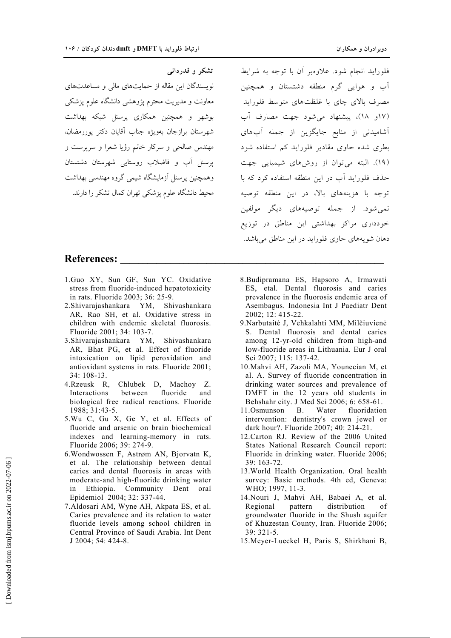نویسندگان این مقاله از حمایتهای مالی و مساعدتهای

معاونت و مدیریت محترم پژوهشی دانشگاه علوم پزشکی

بوشهر و همچنین همکاری پرسنل شبکه بهداشت

شهرستان برازجان بهويژه جناب آقايان دكتر يوررمضان،

مهندس صالحی و سرکار خانم رؤیا شعرا و سرپرست و یرسنل آب و فاضلاب روستایی شهرستان دشتستان

وهمچنین پرسنل آزمایشگاه شیمی گروه مهندسی بهداشت

محیط دانشگاه علوم یزشکی تهران کمال تشکر را دارند.

تشکر و قدردانی

فلورايد انجام شود. علاوهبر أن با توجه به شرايط آب و هوایی گرم منطقه دشتستان و همچنین مصرف بالای چای با غلظتهای متوسط فلوراید (١٧و ١٨)، پیشنهاد می شود جهت مصارف آب ۔<br>آشامیدنی از منابع جایگزین از جمله آبهای .<br>بطری شده حاوی مقادیر فلوراید کم استفاده شود (١٩). البته می توان از روشهای شیمیایی جهت حذف فلوراید آب در این منطقه استفاده کرد که با توجه با هزینههای بالا، در این منطقه توصیه .<br>نمیشود. از جمله توصیههای دیگر مولفین خودداری مراکز بهداشتی این مناطق در توزیع دهان شويههاي حاوي فلورايد در اين مناطق مي باشد.

### **References:**

- 1.Guo XY, Sun GF, Sun YC. Oxidative stress from fluoride-induced hepatotoxicity in rats. Fluoride 2003; 36: 25-9.
- 2. Shivarajashankara YM, Shivashankara AR, Rao SH, et al. Oxidative stress in children with endemic skeletal fluorosis. Fluoride 2001; 34: 103-7.
- 3. Shivarajashankara YM, Shivashankara AR, Bhat PG, et al. Effect of fluoride intoxication on lipid peroxidation and antioxidant systems in rats. Fluoride 2001; 34: 108-13.
- 4. Rzeusk R, Chlubek D, Machoy Z. Interactions between fluoride and biological free radical reactions. Fluoride 1988; 31:43-5.
- 5. Wu C, Gu X, Ge Y, et al. Effects of fluoride and arsenic on brain biochemical indexes and learning-memory in rats. Fluoride 2006; 39: 274-9.
- 6. Wondwossen F, Astrøm AN, Bjorvatn K, et al. The relationship between dental caries and dental fluorosis in areas with moderate-and high-fluoride drinking water Ethiopia. Community Dent oral in Epidemiol 2004; 32: 337-44.
- 7. Aldosari AM, Wyne AH, Akpata ES, et al. Caries prevalence and its relation to water fluoride levels among school children in Central Province of Saudi Arabia. Int Dent J 2004; 54: 424-8.
- 8. Budipramana ES, Hapsoro A, Irmawati ES, etal. Dental fluorosis and caries prevalence in the fluorosis endemic area of Asembagus. Indonesia Int J Paediatr Dent 2002; 12: 415-22.
- 9. Narbutaitė J, Vehkalahti MM, Milčiuvienė S. Dental fluorosis and dental caries among 12-yr-old children from high-and low-fluoride areas in Lithuania. Eur J oral Sci 2007; 115: 137-42.
- 10. Mahvi AH, Zazoli MA, Younecian M, et al. A. Survey of fluoride concentration in drinking water sources and prevalence of DMFT in the 12 years old students in Behshahr city. J Med Sci 2006; 6: 658-61.
- 11.Osmunson **B**. Water fluoridation intervention: dentistry's crown jewel or dark hour?. Fluoride 2007: 40: 214-21.
- 12. Carton RJ. Review of the 2006 United States National Research Council report: Fluoride in drinking water. Fluoride 2006;  $39:163-72.$
- 13. World Health Organization. Oral health survey: Basic methods. 4th ed, Geneva: WHO; 1997, 11-3.
- 14. Nouri J, Mahvi AH, Babaei A, et al. Regional pattern distribution of groundwater fluoride in the Shush aquifer of Khuzestan County, Iran. Fluoride 2006;  $39:321-5.$
- 15. Meyer-Lueckel H, Paris S, Shirkhani B,